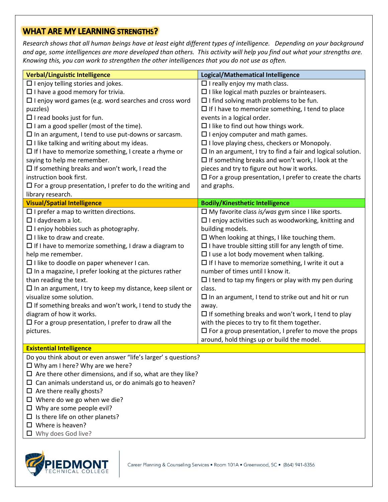## **WHAT ARE MY LEARNING STRENGTHS?**

*Research shows that all human beings have at least eight different types of intelligence. Depending on your background and age, some intelligences are more developed than others. This activity will help you find out what your strengths are. Knowing this, you can work to strengthen the other intelligences that you do not use as often.*

| $\square$ In an argument, I try to find a fair and logical solution.                            |  |  |
|-------------------------------------------------------------------------------------------------|--|--|
|                                                                                                 |  |  |
|                                                                                                 |  |  |
| $\square$ For a group presentation, I prefer to create the charts                               |  |  |
|                                                                                                 |  |  |
|                                                                                                 |  |  |
|                                                                                                 |  |  |
|                                                                                                 |  |  |
| $\Box$ I enjoy activities such as woodworking, knitting and                                     |  |  |
|                                                                                                 |  |  |
|                                                                                                 |  |  |
|                                                                                                 |  |  |
|                                                                                                 |  |  |
|                                                                                                 |  |  |
|                                                                                                 |  |  |
| $\Box$ I tend to tap my fingers or play with my pen during                                      |  |  |
|                                                                                                 |  |  |
|                                                                                                 |  |  |
|                                                                                                 |  |  |
| $\Box$ If something breaks and won't work, I tend to play                                       |  |  |
|                                                                                                 |  |  |
| $\square$ For a group presentation, I prefer to move the props                                  |  |  |
|                                                                                                 |  |  |
| <b>Existential Intelligence</b><br>$\theta$ and $\theta$ and $\theta$ and $\theta$ and $\theta$ |  |  |
|                                                                                                 |  |  |

Do you think about or even answer "life's larger' s questions?

- $\square$  Why am I here? Why are we here?
- $\Box$  Are there other dimensions, and if so, what are they like?
- $\square$  Can animals understand us, or do animals go to heaven?
- $\Box$  Are there really ghosts?
- $\square$  Where do we go when we die?
- $\Box$  Why are some people evil?
- $\square$  Is there life on other planets?
- $\square$  Where is heaven?
- Why does God live?